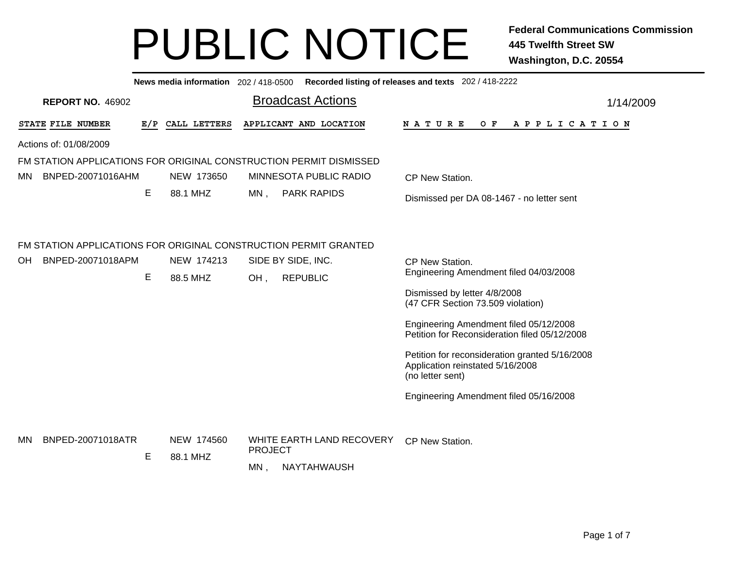|     |                         |     |                        | News media information 202/418-0500 Recorded listing of releases and texts 202/418-2222 |                                                                                                        |  |  |
|-----|-------------------------|-----|------------------------|-----------------------------------------------------------------------------------------|--------------------------------------------------------------------------------------------------------|--|--|
|     | <b>REPORT NO. 46902</b> |     |                        | <b>Broadcast Actions</b>                                                                | 1/14/2009                                                                                              |  |  |
|     | STATE FILE NUMBER       | E/P | CALL LETTERS           | APPLICANT AND LOCATION                                                                  | <b>NATURE</b><br>O F<br>A P P L I C A T I O N                                                          |  |  |
|     | Actions of: 01/08/2009  |     |                        |                                                                                         |                                                                                                        |  |  |
|     |                         |     |                        | FM STATION APPLICATIONS FOR ORIGINAL CONSTRUCTION PERMIT DISMISSED                      |                                                                                                        |  |  |
| MN. | BNPED-20071016AHM       |     | NEW 173650             | MINNESOTA PUBLIC RADIO                                                                  | CP New Station.                                                                                        |  |  |
|     |                         | Е   | 88.1 MHZ               | $MN$ ,<br><b>PARK RAPIDS</b>                                                            | Dismissed per DA 08-1467 - no letter sent                                                              |  |  |
|     |                         |     |                        | FM STATION APPLICATIONS FOR ORIGINAL CONSTRUCTION PERMIT GRANTED                        |                                                                                                        |  |  |
| OH. | BNPED-20071018APM       |     | NEW 174213             | SIDE BY SIDE, INC.                                                                      | CP New Station.                                                                                        |  |  |
|     |                         | E   | 88.5 MHZ               | <b>REPUBLIC</b><br>OH,                                                                  | Engineering Amendment filed 04/03/2008                                                                 |  |  |
|     |                         |     |                        |                                                                                         | Dismissed by letter 4/8/2008<br>(47 CFR Section 73.509 violation)                                      |  |  |
|     |                         |     |                        |                                                                                         | Engineering Amendment filed 05/12/2008<br>Petition for Reconsideration filed 05/12/2008                |  |  |
|     |                         |     |                        |                                                                                         | Petition for reconsideration granted 5/16/2008<br>Application reinstated 5/16/2008<br>(no letter sent) |  |  |
|     |                         |     |                        |                                                                                         | Engineering Amendment filed 05/16/2008                                                                 |  |  |
| MN  | BNPED-20071018ATR       | E   | NEW 174560<br>88.1 MHZ | WHITE EARTH LAND RECOVERY<br><b>PROJECT</b><br>$MN$ ,<br>NAYTAHWAUSH                    | CP New Station.                                                                                        |  |  |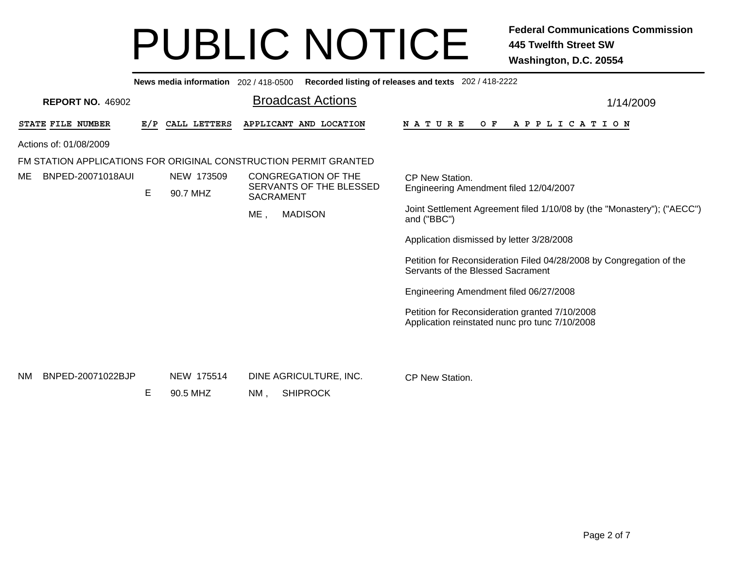|                                |     |              | News media information 202/418-0500 Recorded listing of releases and texts 202/418-2222 |                                                                                                           |
|--------------------------------|-----|--------------|-----------------------------------------------------------------------------------------|-----------------------------------------------------------------------------------------------------------|
| <b>REPORT NO. 46902</b>        |     |              | <b>Broadcast Actions</b>                                                                | 1/14/2009                                                                                                 |
| STATE FILE NUMBER              | E/P | CALL LETTERS | APPLICANT AND LOCATION                                                                  | <b>NATURE</b><br>O F<br>A P P L I C A T I O N                                                             |
| Actions of: 01/08/2009         |     |              |                                                                                         |                                                                                                           |
|                                |     |              | FM STATION APPLICATIONS FOR ORIGINAL CONSTRUCTION PERMIT GRANTED                        |                                                                                                           |
| BNPED-20071018AUI<br>ME        |     | NEW 173509   | <b>CONGREGATION OF THE</b>                                                              | CP New Station.                                                                                           |
|                                | Е   | 90.7 MHZ     | SERVANTS OF THE BLESSED<br><b>SACRAMENT</b>                                             | Engineering Amendment filed 12/04/2007                                                                    |
|                                |     |              | <b>MADISON</b><br>ME                                                                    | Joint Settlement Agreement filed 1/10/08 by (the "Monastery"); ("AECC")<br>and ("BBC")                    |
|                                |     |              |                                                                                         | Application dismissed by letter 3/28/2008                                                                 |
|                                |     |              |                                                                                         | Petition for Reconsideration Filed 04/28/2008 by Congregation of the<br>Servants of the Blessed Sacrament |
|                                |     |              |                                                                                         | Engineering Amendment filed 06/27/2008                                                                    |
|                                |     |              |                                                                                         | Petition for Reconsideration granted 7/10/2008<br>Application reinstated nunc pro tunc 7/10/2008          |
|                                |     |              |                                                                                         |                                                                                                           |
| BNPED-20071022BJP<br><b>NM</b> |     | NEW 175514   | DINE AGRICULTURE, INC.                                                                  | <b>CP New Station.</b>                                                                                    |
|                                | Е   | 90.5 MHZ     | <b>SHIPROCK</b><br>NM.                                                                  |                                                                                                           |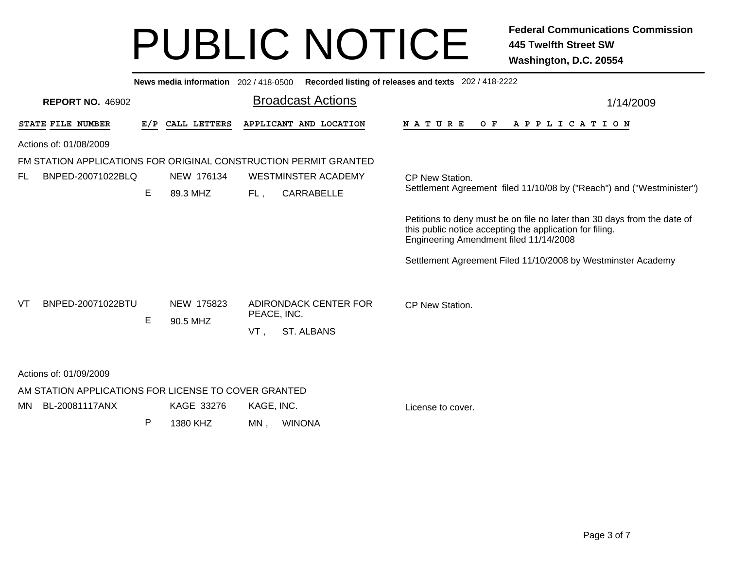|                                                                  |     | News media information 202 / 418-0500 |                    |                                            | Recorded listing of releases and texts 202 / 418-2222                                                                                                                          |  |  |
|------------------------------------------------------------------|-----|---------------------------------------|--------------------|--------------------------------------------|--------------------------------------------------------------------------------------------------------------------------------------------------------------------------------|--|--|
| <b>REPORT NO. 46902</b>                                          |     |                                       |                    | <b>Broadcast Actions</b>                   | 1/14/2009                                                                                                                                                                      |  |  |
| STATE FILE NUMBER                                                | E/P | CALL LETTERS                          |                    | APPLICANT AND LOCATION                     | OF APPLICATION<br><b>NATURE</b>                                                                                                                                                |  |  |
| Actions of: 01/08/2009                                           |     |                                       |                    |                                            |                                                                                                                                                                                |  |  |
| FM STATION APPLICATIONS FOR ORIGINAL CONSTRUCTION PERMIT GRANTED |     |                                       |                    |                                            |                                                                                                                                                                                |  |  |
| BNPED-20071022BLQ<br>FL                                          |     | NEW 176134                            |                    | WESTMINSTER ACADEMY                        | CP New Station.                                                                                                                                                                |  |  |
|                                                                  | E   | 89.3 MHZ                              | FL,                | CARRABELLE                                 | Settlement Agreement filed 11/10/08 by ("Reach") and ("Westminister")                                                                                                          |  |  |
|                                                                  |     |                                       |                    |                                            | Petitions to deny must be on file no later than 30 days from the date of<br>this public notice accepting the application for filing.<br>Engineering Amendment filed 11/14/2008 |  |  |
|                                                                  |     |                                       |                    |                                            | Settlement Agreement Filed 11/10/2008 by Westminster Academy                                                                                                                   |  |  |
| BNPED-20071022BTU<br>VT                                          | E   | NEW 175823<br>90.5 MHZ                | PEACE, INC.<br>VT, | ADIRONDACK CENTER FOR<br><b>ST. ALBANS</b> | CP New Station.                                                                                                                                                                |  |  |
| Actions of: 01/09/2009                                           |     |                                       |                    |                                            |                                                                                                                                                                                |  |  |
| AM STATION APPLICATIONS FOR LICENSE TO COVER GRANTED             |     |                                       |                    |                                            |                                                                                                                                                                                |  |  |
| BL-20081117ANX<br>MN.                                            |     | KAGE 33276                            | KAGE, INC.         |                                            | License to cover.                                                                                                                                                              |  |  |
|                                                                  | P   | 1380 KHZ                              | MN,                | <b>WINONA</b>                              |                                                                                                                                                                                |  |  |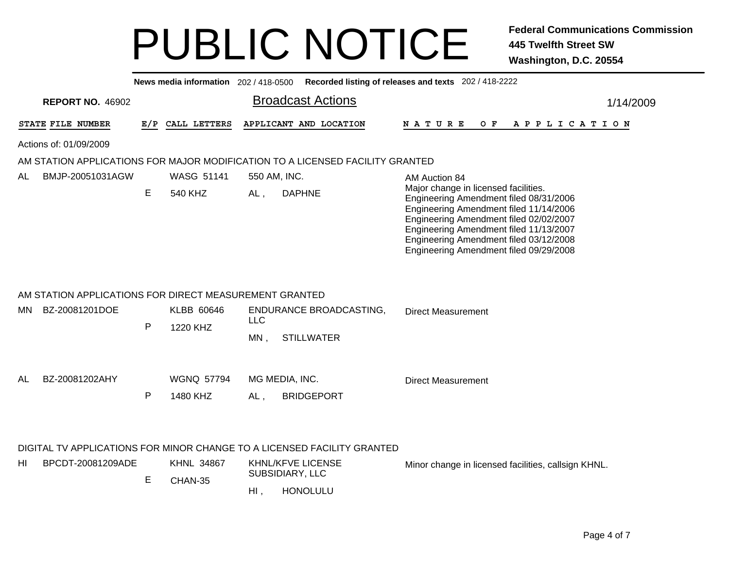|     |                                                        |              |                               |              | News media information 202/418-0500 Recorded listing of releases and texts 202/418-2222                                                   |                                                                                                                                                                                                                                                                                                  |           |
|-----|--------------------------------------------------------|--------------|-------------------------------|--------------|-------------------------------------------------------------------------------------------------------------------------------------------|--------------------------------------------------------------------------------------------------------------------------------------------------------------------------------------------------------------------------------------------------------------------------------------------------|-----------|
|     | <b>REPORT NO. 46902</b>                                |              |                               |              | <b>Broadcast Actions</b>                                                                                                                  |                                                                                                                                                                                                                                                                                                  | 1/14/2009 |
|     | STATE FILE NUMBER                                      | E/P          | CALL LETTERS                  |              | APPLICANT AND LOCATION                                                                                                                    | <b>NATURE</b><br>A P P L I C A T I O N<br>O F                                                                                                                                                                                                                                                    |           |
|     | Actions of: 01/09/2009                                 |              |                               |              |                                                                                                                                           |                                                                                                                                                                                                                                                                                                  |           |
|     |                                                        |              |                               |              | AM STATION APPLICATIONS FOR MAJOR MODIFICATION TO A LICENSED FACILITY GRANTED                                                             |                                                                                                                                                                                                                                                                                                  |           |
| AL  | BMJP-20051031AGW                                       |              | <b>WASG 51141</b>             | 550 AM, INC. |                                                                                                                                           | AM Auction 84                                                                                                                                                                                                                                                                                    |           |
|     |                                                        | E.           | 540 KHZ                       | AL,          | <b>DAPHNE</b>                                                                                                                             | Major change in licensed facilities.<br>Engineering Amendment filed 08/31/2006<br>Engineering Amendment filed 11/14/2006<br>Engineering Amendment filed 02/02/2007<br>Engineering Amendment filed 11/13/2007<br>Engineering Amendment filed 03/12/2008<br>Engineering Amendment filed 09/29/2008 |           |
|     | AM STATION APPLICATIONS FOR DIRECT MEASUREMENT GRANTED |              |                               |              |                                                                                                                                           |                                                                                                                                                                                                                                                                                                  |           |
| MN. | BZ-20081201DOE                                         |              | KLBB 60646                    |              | <b>ENDURANCE BROADCASTING,</b>                                                                                                            | <b>Direct Measurement</b>                                                                                                                                                                                                                                                                        |           |
|     |                                                        | $\mathsf{P}$ | 1220 KHZ                      | <b>LLC</b>   |                                                                                                                                           |                                                                                                                                                                                                                                                                                                  |           |
|     |                                                        |              |                               | MN,          | <b>STILLWATER</b>                                                                                                                         |                                                                                                                                                                                                                                                                                                  |           |
| AL  | BZ-20081202AHY                                         | $\mathsf{P}$ | <b>WGNQ 57794</b><br>1480 KHZ | $AL$ ,       | MG MEDIA, INC.<br><b>BRIDGEPORT</b>                                                                                                       | <b>Direct Measurement</b>                                                                                                                                                                                                                                                                        |           |
| HI  | BPCDT-20081209ADE                                      | E            | <b>KHNL 34867</b><br>CHAN-35  | HI,          | DIGITAL TV APPLICATIONS FOR MINOR CHANGE TO A LICENSED FACILITY GRANTED<br><b>KHNL/KFVE LICENSE</b><br>SUBSIDIARY, LLC<br><b>HONOLULU</b> | Minor change in licensed facilities, callsign KHNL.                                                                                                                                                                                                                                              |           |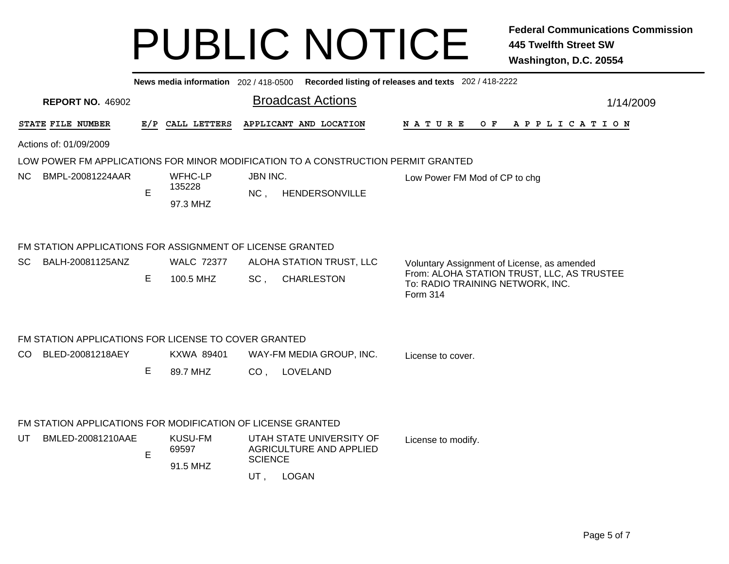|                                                             |     | News media information 202 / 418-0500 |                 |                                                                                   | Recorded listing of releases and texts 202 / 418-2222                          |  |
|-------------------------------------------------------------|-----|---------------------------------------|-----------------|-----------------------------------------------------------------------------------|--------------------------------------------------------------------------------|--|
| <b>REPORT NO. 46902</b>                                     |     |                                       |                 | <b>Broadcast Actions</b>                                                          | 1/14/2009                                                                      |  |
| STATE FILE NUMBER                                           | E/P | CALL LETTERS                          |                 | APPLICANT AND LOCATION                                                            | <b>NATURE</b><br>O F<br>A P P L I C A T I O N                                  |  |
| Actions of: 01/09/2009                                      |     |                                       |                 |                                                                                   |                                                                                |  |
|                                                             |     |                                       |                 | LOW POWER FM APPLICATIONS FOR MINOR MODIFICATION TO A CONSTRUCTION PERMIT GRANTED |                                                                                |  |
| NC.<br>BMPL-20081224AAR                                     |     | WFHC-LP                               | JBN INC.        |                                                                                   | Low Power FM Mod of CP to chg                                                  |  |
|                                                             | E   | 135228                                | $NC$ .          | <b>HENDERSONVILLE</b>                                                             |                                                                                |  |
|                                                             |     | 97.3 MHZ                              |                 |                                                                                   |                                                                                |  |
| FM STATION APPLICATIONS FOR ASSIGNMENT OF LICENSE GRANTED   |     |                                       |                 |                                                                                   |                                                                                |  |
| BALH-20081125ANZ<br>SC                                      |     | <b>WALC 72377</b>                     |                 | ALOHA STATION TRUST, LLC                                                          | Voluntary Assignment of License, as amended                                    |  |
|                                                             | E   | 100.5 MHZ                             | SC,             | <b>CHARLESTON</b>                                                                 | From: ALOHA STATION TRUST, LLC, AS TRUSTEE<br>To: RADIO TRAINING NETWORK, INC. |  |
|                                                             |     |                                       |                 |                                                                                   | Form 314                                                                       |  |
| FM STATION APPLICATIONS FOR LICENSE TO COVER GRANTED        |     |                                       |                 |                                                                                   |                                                                                |  |
| CO<br>BLED-20081218AEY                                      |     | KXWA 89401                            |                 | WAY-FM MEDIA GROUP, INC.                                                          | License to cover.                                                              |  |
|                                                             | Е   | 89.7 MHZ                              | CO <sub>1</sub> | LOVELAND                                                                          |                                                                                |  |
|                                                             |     |                                       |                 |                                                                                   |                                                                                |  |
| FM STATION APPLICATIONS FOR MODIFICATION OF LICENSE GRANTED |     |                                       |                 |                                                                                   |                                                                                |  |
| UT<br>BMLED-20081210AAE                                     |     | <b>KUSU-FM</b><br>69597               |                 | UTAH STATE UNIVERSITY OF<br>AGRICULTURE AND APPLIED                               | License to modify.                                                             |  |
|                                                             | E   |                                       | <b>COLENIOF</b> |                                                                                   |                                                                                |  |

, LOGAN UT

SCIENCE

91.5 MHZ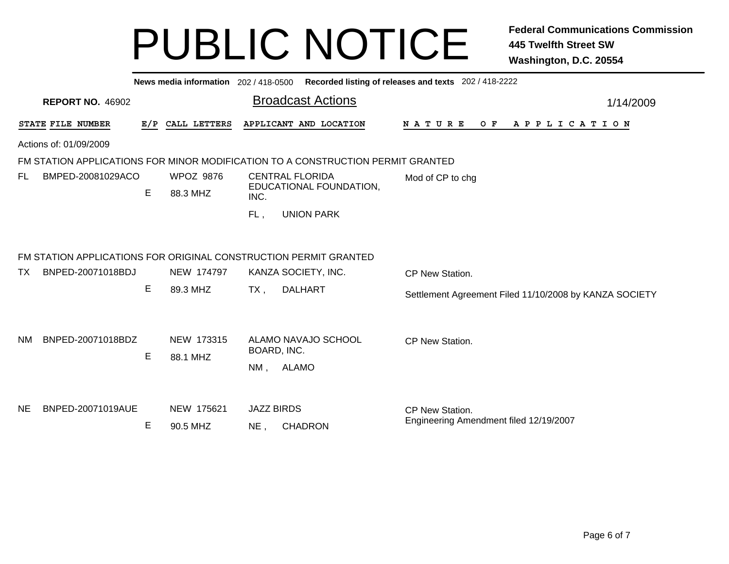|                                |                                                                  |                  |                                 | News media information 202 / 418-0500 Recorded listing of releases and texts 202 / 418-2222 |                                                        |  |  |  |  |  |
|--------------------------------|------------------------------------------------------------------|------------------|---------------------------------|---------------------------------------------------------------------------------------------|--------------------------------------------------------|--|--|--|--|--|
| <b>REPORT NO. 46902</b>        |                                                                  |                  |                                 | <b>Broadcast Actions</b>                                                                    | 1/14/2009                                              |  |  |  |  |  |
| STATE FILE NUMBER              | E/P                                                              | CALL LETTERS     |                                 | APPLICANT AND LOCATION                                                                      | <b>NATURE</b><br>O F<br>A P P L I C A T I O N          |  |  |  |  |  |
| Actions of: 01/09/2009         |                                                                  |                  |                                 |                                                                                             |                                                        |  |  |  |  |  |
|                                |                                                                  |                  |                                 | FM STATION APPLICATIONS FOR MINOR MODIFICATION TO A CONSTRUCTION PERMIT GRANTED             |                                                        |  |  |  |  |  |
| FL.<br>BMPED-20081029ACO       |                                                                  | <b>WPOZ 9876</b> | <b>CENTRAL FLORIDA</b>          |                                                                                             | Mod of CP to chg                                       |  |  |  |  |  |
|                                | E                                                                | 88.3 MHZ         | EDUCATIONAL FOUNDATION,<br>INC. |                                                                                             |                                                        |  |  |  |  |  |
|                                |                                                                  |                  | FL,                             | <b>UNION PARK</b>                                                                           |                                                        |  |  |  |  |  |
|                                | FM STATION APPLICATIONS FOR ORIGINAL CONSTRUCTION PERMIT GRANTED |                  |                                 |                                                                                             |                                                        |  |  |  |  |  |
| BNPED-20071018BDJ<br>TX.       |                                                                  | NEW 174797       |                                 | KANZA SOCIETY, INC.                                                                         | CP New Station.                                        |  |  |  |  |  |
|                                | E                                                                | 89.3 MHZ         | $TX$ ,                          | <b>DALHART</b>                                                                              | Settlement Agreement Filed 11/10/2008 by KANZA SOCIETY |  |  |  |  |  |
|                                |                                                                  |                  |                                 |                                                                                             |                                                        |  |  |  |  |  |
| BNPED-20071018BDZ<br><b>NM</b> |                                                                  | NEW 173315       |                                 | ALAMO NAVAJO SCHOOL                                                                         | CP New Station.                                        |  |  |  |  |  |
|                                | E                                                                | 88.1 MHZ         | BOARD, INC.                     |                                                                                             |                                                        |  |  |  |  |  |
|                                |                                                                  |                  | NM,                             | ALAMO                                                                                       |                                                        |  |  |  |  |  |
|                                |                                                                  |                  |                                 |                                                                                             |                                                        |  |  |  |  |  |
| BNPED-20071019AUE<br><b>NE</b> |                                                                  | NEW 175621       | <b>JAZZ BIRDS</b>               |                                                                                             | CP New Station.                                        |  |  |  |  |  |
|                                | Е                                                                | 90.5 MHZ         | $NE$ ,                          | <b>CHADRON</b>                                                                              | Engineering Amendment filed 12/19/2007                 |  |  |  |  |  |